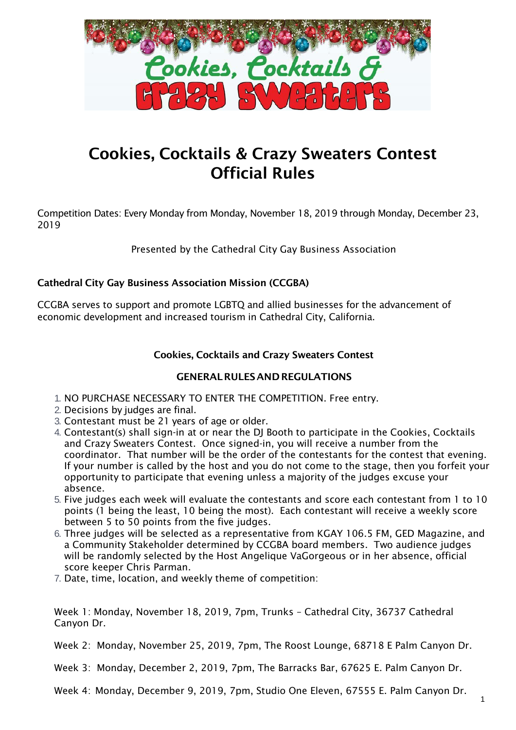

# Cookies, Cocktails & Crazy Sweaters Contest Official Rules

Competition Dates: Every Monday from Monday, November 18, 2019 through Monday, December 23, 2019

Presented by the Cathedral City Gay Business Association

# Cathedral City Gay Business Association Mission (CCGBA)

CCGBA serves to support and promote LGBTQ and allied businesses for the advancement of economic development and increased tourism in Cathedral City, California.

# Cookies, Cocktails and Crazy Sweaters Contest

### GENERALRULESANDREGULATIONS

- 1. NO PURCHASE NECESSARY TO ENTER THE COMPETITION. Free entry.
- 2. Decisions by judges are final.
- 3. Contestant must be 21 years of age or older.
- 4. Contestant(s) shall sign-in at or near the DJ Booth to participate in the Cookies, Cocktails and Crazy Sweaters Contest. Once signed-in, you will receive a number from the coordinator. That number will be the order of the contestants for the contest that evening. If your number is called by the host and you do not come to the stage, then you forfeit your opportunity to participate that evening unless a majority of the judges excuse your absence.
- 5. Five judges each week will evaluate the contestants and score each contestant from 1 to 10 points (1 being the least, 10 being the most). Each contestant will receive a weekly score between 5 to 50 points from the five judges.
- 6. Three judges will be selected as a representative from KGAY 106.5 FM, GED Magazine, and a Community Stakeholder determined by CCGBA board members. Two audience judges will be randomly selected by the Host Angelique VaGorgeous or in her absence, official score keeper Chris Parman.
- 7. Date, time, location, and weekly theme of competition:

Week 1: Monday, November 18, 2019, 7pm, Trunks – Cathedral City, 36737 Cathedral Canyon Dr.

Week 2: Monday, November 25, 2019, 7pm, The Roost Lounge, 68718 E Palm Canyon Dr.

Week 3: Monday, December 2, 2019, 7pm, The Barracks Bar, 67625 E. Palm Canyon Dr.

Week 4: Monday, December 9, 2019, 7pm, Studio One Eleven, 67555 E. Palm Canyon Dr.

1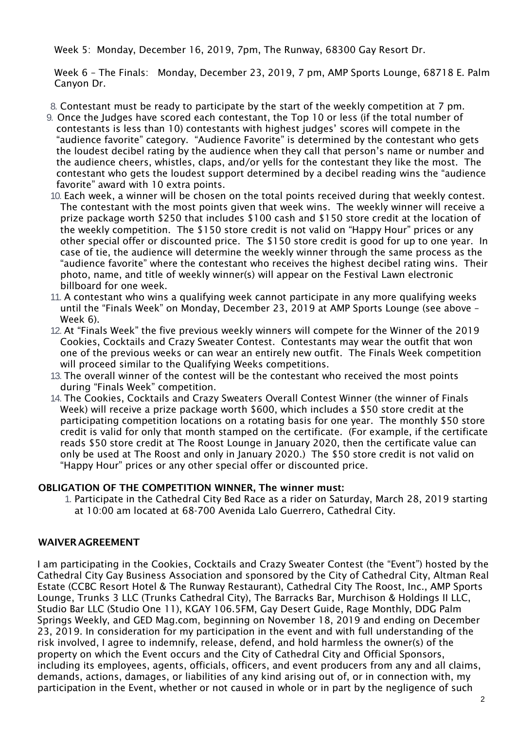Week 5: Monday, December 16, 2019, 7pm, The Runway, 68300 Gay Resort Dr.

Week 6 – The Finals: Monday, December 23, 2019, 7 pm, AMP Sports Lounge, 68718 E. Palm Canyon Dr.

8. Contestant must be ready to participate by the start of the weekly competition at 7 pm.

- 9. Once the Judges have scored each contestant, the Top 10 or less (if the total number of contestants is less than 10) contestants with highest judges' scores will compete in the "audience favorite" category. "Audience Favorite" is determined by the contestant who gets the loudest decibel rating by the audience when they call that person's name or number and the audience cheers, whistles, claps, and/or yells for the contestant they like the most. The contestant who gets the loudest support determined by a decibel reading wins the "audience favorite" award with 10 extra points.
- 10. Each week, a winner will be chosen on the total points received during that weekly contest. The contestant with the most points given that week wins. The weekly winner will receive a prize package worth \$250 that includes \$100 cash and \$150 store credit at the location of the weekly competition. The \$150 store credit is not valid on "Happy Hour" prices or any other special offer or discounted price. The \$150 store credit is good for up to one year. In case of tie, the audience will determine the weekly winner through the same process as the "audience favorite" where the contestant who receives the highest decibel rating wins. Their photo, name, and title of weekly winner(s) will appear on the Festival Lawn electronic billboard for one week.
- 11. A contestant who wins a qualifying week cannot participate in any more qualifying weeks until the "Finals Week" on Monday, December 23, 2019 at AMP Sports Lounge (see above – Week 6).
- 12. At "Finals Week" the five previous weekly winners will compete for the Winner of the 2019 Cookies, Cocktails and Crazy Sweater Contest. Contestants may wear the outfit that won one of the previous weeks or can wear an entirely new outfit. The Finals Week competition will proceed similar to the Qualifying Weeks competitions.
- 13. The overall winner of the contest will be the contestant who received the most points during "Finals Week" competition.
- 14. The Cookies, Cocktails and Crazy Sweaters Overall Contest Winner (the winner of Finals Week) will receive a prize package worth \$600, which includes a \$50 store credit at the participating competition locations on a rotating basis for one year. The monthly \$50 store credit is valid for only that month stamped on the certificate. (For example, if the certificate reads \$50 store credit at The Roost Lounge in January 2020, then the certificate value can only be used at The Roost and only in January 2020.) The \$50 store credit is not valid on "Happy Hour" prices or any other special offer or discounted price.

#### OBLIGATION OF THE COMPETITION WINNER, The winner must:

1. Participate in the Cathedral City Bed Race as a rider on Saturday, March 28, 2019 starting at 10:00 am located at 68-700 Avenida Lalo Guerrero, Cathedral City.

### WAIVERAGREEMENT

I am participating in the Cookies, Cocktails and Crazy Sweater Contest (the "Event") hosted by the Cathedral City Gay Business Association and sponsored by the City of Cathedral City, Altman Real Estate (CCBC Resort Hotel & The Runway Restaurant), Cathedral City The Roost, Inc., AMP Sports Lounge, Trunks 3 LLC (Trunks Cathedral City), The Barracks Bar, Murchison & Holdings II LLC, Studio Bar LLC (Studio One 11), KGAY 106.5FM, Gay Desert Guide, Rage Monthly, DDG Palm Springs Weekly, and GED Mag.com, beginning on November 18, 2019 and ending on December 23, 2019. In consideration for my participation in the event and with full understanding of the risk involved, I agree to indemnify, release, defend, and hold harmless the owner(s) of the property on which the Event occurs and the City of Cathedral City and Official Sponsors, including its employees, agents, officials, officers, and event producers from any and all claims, demands, actions, damages, or liabilities of any kind arising out of, or in connection with, my participation in the Event, whether or not caused in whole or in part by the negligence of such